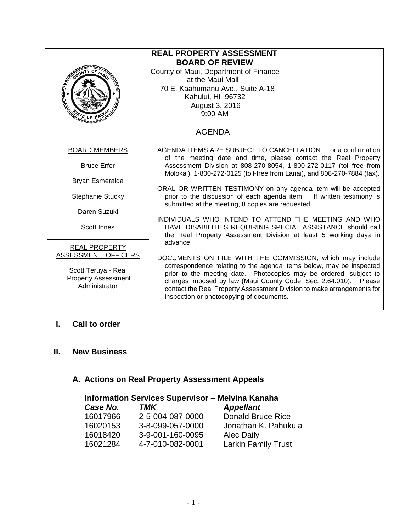| <b>REAL PROPERTY ASSESSMENT</b><br><b>BOARD OF REVIEW</b><br>County of Maui, Department of Finance<br>at the Maui Mall<br>70 E. Kaahumanu Ave., Suite A-18<br>Kahului, HI 96732<br>August 3, 2016<br>9:00 AM<br>$\frac{A}{\sqrt{5}}$ of $\frac{1}{\sqrt{5}}$ |                                                                                                                                                                                                                                                                                                                                    |  |
|--------------------------------------------------------------------------------------------------------------------------------------------------------------------------------------------------------------------------------------------------------------|------------------------------------------------------------------------------------------------------------------------------------------------------------------------------------------------------------------------------------------------------------------------------------------------------------------------------------|--|
|                                                                                                                                                                                                                                                              | <b>AGENDA</b>                                                                                                                                                                                                                                                                                                                      |  |
| <b>BOARD MEMBERS</b>                                                                                                                                                                                                                                         | AGENDA ITEMS ARE SUBJECT TO CANCELLATION. For a confirmation<br>of the meeting date and time, please contact the Real Property                                                                                                                                                                                                     |  |
| <b>Bruce Erfer</b>                                                                                                                                                                                                                                           | Assessment Division at 808-270-8054, 1-800-272-0117 (toll-free from<br>Molokai), 1-800-272-0125 (toll-free from Lanai), and 808-270-7884 (fax).                                                                                                                                                                                    |  |
| Bryan Esmeralda                                                                                                                                                                                                                                              |                                                                                                                                                                                                                                                                                                                                    |  |
| Stephanie Stucky                                                                                                                                                                                                                                             | ORAL OR WRITTEN TESTIMONY on any agenda item will be accepted<br>prior to the discussion of each agenda item. If written testimony is<br>submitted at the meeting, 8 copies are requested.                                                                                                                                         |  |
| Daren Suzuki                                                                                                                                                                                                                                                 |                                                                                                                                                                                                                                                                                                                                    |  |
| <b>Scott Innes</b>                                                                                                                                                                                                                                           | INDIVIDUALS WHO INTEND TO ATTEND THE MEETING AND WHO<br>HAVE DISABILITIES REQUIRING SPECIAL ASSISTANCE should call<br>the Real Property Assessment Division at least 5 working days in                                                                                                                                             |  |
| <b>REAL PROPERTY</b>                                                                                                                                                                                                                                         | advance.                                                                                                                                                                                                                                                                                                                           |  |
| ASSESSMENT OFFICERS                                                                                                                                                                                                                                          | DOCUMENTS ON FILE WITH THE COMMISSION, which may include                                                                                                                                                                                                                                                                           |  |
| Scott Teruya - Real<br><b>Property Assessment</b><br>Administrator                                                                                                                                                                                           | correspondence relating to the agenda items below, may be inspected<br>prior to the meeting date. Photocopies may be ordered, subject to<br>charges imposed by law (Maui County Code, Sec. 2.64.010). Please<br>contact the Real Property Assessment Division to make arrangements for<br>inspection or photocopying of documents. |  |

## **I. Call to order**

### **II. New Business**

# **A. Actions on Real Property Assessment Appeals**

| <b>Information Services Supervisor - Melvina Kanaha</b> |                  |                            |  |
|---------------------------------------------------------|------------------|----------------------------|--|
| Case No.                                                | TMK              | <b>Appellant</b>           |  |
| 16017966                                                | 2-5-004-087-0000 | <b>Donald Bruce Rice</b>   |  |
| 16020153                                                | 3-8-099-057-0000 | Jonathan K. Pahukula       |  |
| 16018420                                                | 3-9-001-160-0095 | <b>Alec Daily</b>          |  |
| 16021284                                                | 4-7-010-082-0001 | <b>Larkin Family Trust</b> |  |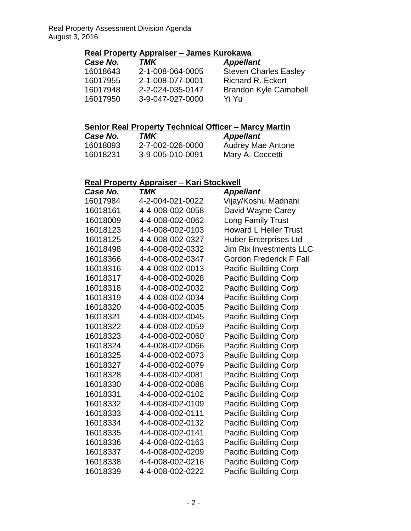### **Real Property Appraiser – James Kurokawa**

| Case No. | TMK              | <b>Appellant</b>             |
|----------|------------------|------------------------------|
| 16018643 | 2-1-008-064-0005 | <b>Steven Charles Easley</b> |
| 16017955 | 2-1-008-077-0001 | <b>Richard R. Eckert</b>     |
| 16017948 | 2-2-024-035-0147 | <b>Brandon Kyle Campbell</b> |
| 16017950 | 3-9-047-027-0000 | Yi Yu                        |
|          |                  |                              |

### **Senior Real Property Technical Officer – Marcy Martin**

| Case No. | TMK              | <b>Appellant</b>         |
|----------|------------------|--------------------------|
| 16018093 | 2-7-002-026-0000 | <b>Audrey Mae Antone</b> |
| 16018231 | 3-9-005-010-0091 | Mary A. Coccetti         |

### **Real Property Appraiser – Kari Stockwell**

| Case No. | TMK              | <b>Appellant</b>               |
|----------|------------------|--------------------------------|
| 16017984 | 4-2-004-021-0022 | Vijay/Koshu Madnani            |
| 16018161 | 4-4-008-002-0058 | David Wayne Carey              |
| 16018009 | 4-4-008-002-0062 | <b>Long Family Trust</b>       |
| 16018123 | 4-4-008-002-0103 | <b>Howard L Heller Trust</b>   |
| 16018125 | 4-4-008-002-0327 | <b>Huber Enterprises Ltd</b>   |
| 16018498 | 4-4-008-002-0332 | <b>Jim Rix Investments LLC</b> |
| 16018366 | 4-4-008-002-0347 | <b>Gordon Frederick F Fall</b> |
| 16018316 | 4-4-008-002-0013 | <b>Pacific Building Corp</b>   |
| 16018317 | 4-4-008-002-0028 | <b>Pacific Building Corp</b>   |
| 16018318 | 4-4-008-002-0032 | <b>Pacific Building Corp</b>   |
| 16018319 | 4-4-008-002-0034 | <b>Pacific Building Corp</b>   |
| 16018320 | 4-4-008-002-0035 | <b>Pacific Building Corp</b>   |
| 16018321 | 4-4-008-002-0045 | Pacific Building Corp          |
| 16018322 | 4-4-008-002-0059 | <b>Pacific Building Corp</b>   |
| 16018323 | 4-4-008-002-0060 | <b>Pacific Building Corp</b>   |
| 16018324 | 4-4-008-002-0066 | <b>Pacific Building Corp</b>   |
| 16018325 | 4-4-008-002-0073 | <b>Pacific Building Corp</b>   |
| 16018327 | 4-4-008-002-0079 | <b>Pacific Building Corp</b>   |
| 16018328 | 4-4-008-002-0081 | <b>Pacific Building Corp</b>   |
| 16018330 | 4-4-008-002-0088 | <b>Pacific Building Corp</b>   |
| 16018331 | 4-4-008-002-0102 | <b>Pacific Building Corp</b>   |
| 16018332 | 4-4-008-002-0109 | <b>Pacific Building Corp</b>   |
| 16018333 | 4-4-008-002-0111 | <b>Pacific Building Corp</b>   |
| 16018334 | 4-4-008-002-0132 | <b>Pacific Building Corp</b>   |
| 16018335 | 4-4-008-002-0141 | <b>Pacific Building Corp</b>   |
| 16018336 | 4-4-008-002-0163 | <b>Pacific Building Corp</b>   |
| 16018337 | 4-4-008-002-0209 | <b>Pacific Building Corp</b>   |
| 16018338 | 4-4-008-002-0216 | <b>Pacific Building Corp</b>   |
| 16018339 | 4-4-008-002-0222 | <b>Pacific Building Corp</b>   |